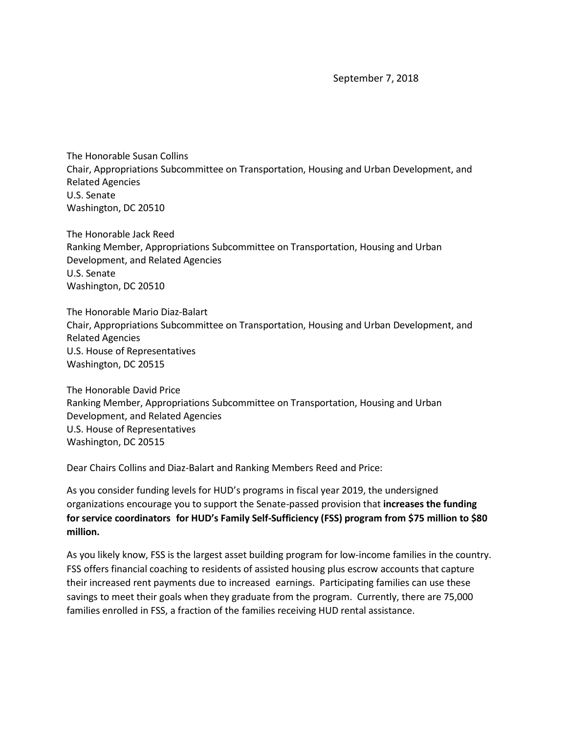September 7, 2018

The Honorable Susan Collins Chair, Appropriations Subcommittee on Transportation, Housing and Urban Development, and Related Agencies U.S. Senate Washington, DC 20510

The Honorable Jack Reed Ranking Member, Appropriations Subcommittee on Transportation, Housing and Urban Development, and Related Agencies U.S. Senate Washington, DC 20510

The Honorable Mario Diaz-Balart Chair, Appropriations Subcommittee on Transportation, Housing and Urban Development, and Related Agencies U.S. House of Representatives Washington, DC 20515

The Honorable David Price Ranking Member, Appropriations Subcommittee on Transportation, Housing and Urban Development, and Related Agencies U.S. House of Representatives Washington, DC 20515

Dear Chairs Collins and Diaz-Balart and Ranking Members Reed and Price:

As you consider funding levels for HUD's programs in fiscal year 2019, the undersigned organizations encourage you to support the Senate-passed provision that **increases the funding for service coordinators for HUD's Family Self-Sufficiency (FSS) program from \$75 million to \$80 million.**

As you likely know, FSS is the largest asset building program for low-income families in the country. FSS offers financial coaching to residents of assisted housing plus escrow accounts that capture their increased rent payments due to increased earnings. Participating families can use these savings to meet their goals when they graduate from the program. Currently, there are 75,000 families enrolled in FSS, a fraction of the families receiving HUD rental assistance.